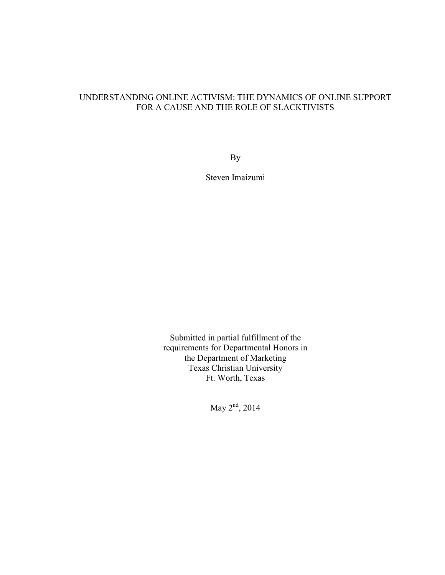# UNDERSTANDING ONLINE ACTIVISM: THE DYNAMICS OF ONLINE SUPPORT FOR A CAUSE AND THE ROLE OF SLACKTIVISTS

By

Steven Imaizumi

Submitted in partial fulfillment of the requirements for Departmental Honors in the Department of Marketing Texas Christian University Ft. Worth, Texas

May 2<sup>nd</sup>, 2014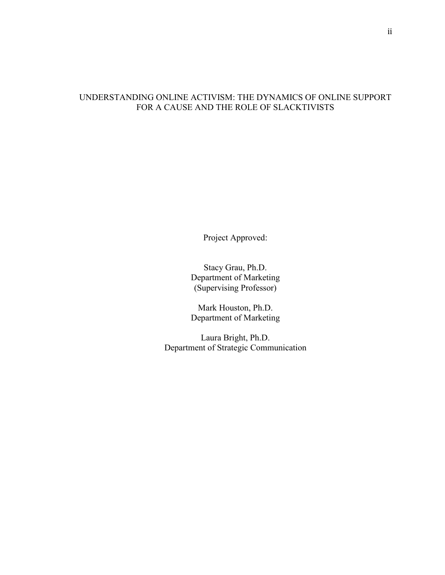# UNDERSTANDING ONLINE ACTIVISM: THE DYNAMICS OF ONLINE SUPPORT FOR A CAUSE AND THE ROLE OF SLACKTIVISTS

Project Approved:

Stacy Grau, Ph.D. Department of Marketing (Supervising Professor)

Mark Houston, Ph.D. Department of Marketing

Laura Bright, Ph.D. Department of Strategic Communication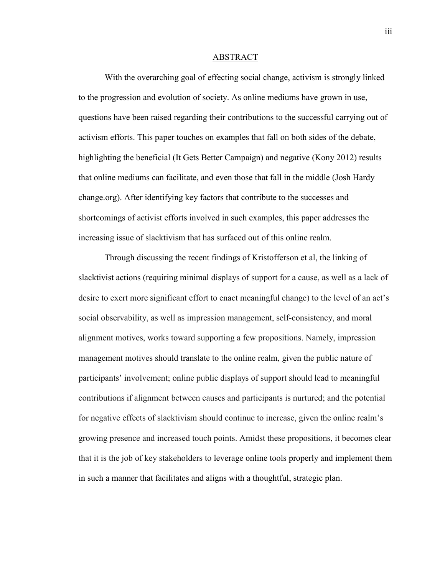#### ABSTRACT

With the overarching goal of effecting social change, activism is strongly linked to the progression and evolution of society. As online mediums have grown in use, questions have been raised regarding their contributions to the successful carrying out of activism efforts. This paper touches on examples that fall on both sides of the debate, highlighting the beneficial (It Gets Better Campaign) and negative (Kony 2012) results that online mediums can facilitate, and even those that fall in the middle (Josh Hardy change.org). After identifying key factors that contribute to the successes and shortcomings of activist efforts involved in such examples, this paper addresses the increasing issue of slacktivism that has surfaced out of this online realm.

Through discussing the recent findings of Kristofferson et al, the linking of slacktivist actions (requiring minimal displays of support for a cause, as well as a lack of desire to exert more significant effort to enact meaningful change) to the level of an act's social observability, as well as impression management, self-consistency, and moral alignment motives, works toward supporting a few propositions. Namely, impression management motives should translate to the online realm, given the public nature of participants' involvement; online public displays of support should lead to meaningful contributions if alignment between causes and participants is nurtured; and the potential for negative effects of slacktivism should continue to increase, given the online realm's growing presence and increased touch points. Amidst these propositions, it becomes clear that it is the job of key stakeholders to leverage online tools properly and implement them in such a manner that facilitates and aligns with a thoughtful, strategic plan.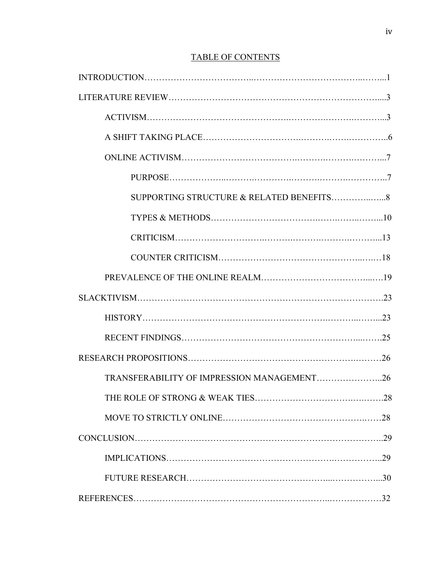# TABLE OF CONTENTS

| TRANSFERABILITY OF IMPRESSION MANAGEMENT26 |     |
|--------------------------------------------|-----|
|                                            | .28 |
|                                            |     |
|                                            |     |
|                                            |     |
|                                            |     |
|                                            |     |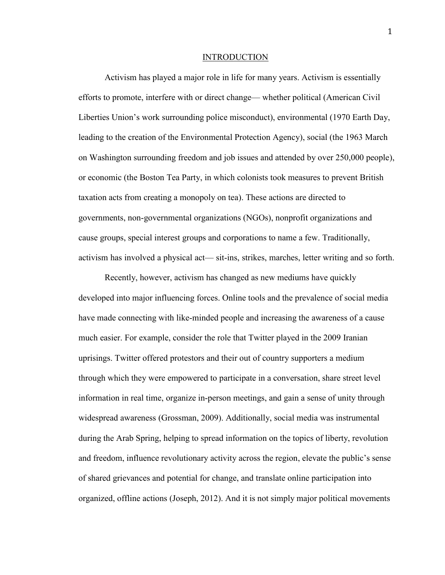#### INTRODUCTION

Activism has played a major role in life for many years. Activism is essentially efforts to promote, interfere with or direct change— whether political (American Civil Liberties Union's work surrounding police misconduct), environmental (1970 Earth Day, leading to the creation of the Environmental Protection Agency), social (the 1963 March on Washington surrounding freedom and job issues and attended by over 250,000 people), or economic (the Boston Tea Party, in which colonists took measures to prevent British taxation acts from creating a monopoly on tea). These actions are directed to governments, non-governmental organizations (NGOs), nonprofit organizations and cause groups, special interest groups and corporations to name a few. Traditionally, activism has involved a physical act— sit-ins, strikes, marches, letter writing and so forth.

Recently, however, activism has changed as new mediums have quickly developed into major influencing forces. Online tools and the prevalence of social media have made connecting with like-minded people and increasing the awareness of a cause much easier. For example, consider the role that Twitter played in the 2009 Iranian uprisings. Twitter offered protestors and their out of country supporters a medium through which they were empowered to participate in a conversation, share street level information in real time, organize in-person meetings, and gain a sense of unity through widespread awareness (Grossman, 2009). Additionally, social media was instrumental during the Arab Spring, helping to spread information on the topics of liberty, revolution and freedom, influence revolutionary activity across the region, elevate the public's sense of shared grievances and potential for change, and translate online participation into organized, offline actions (Joseph, 2012). And it is not simply major political movements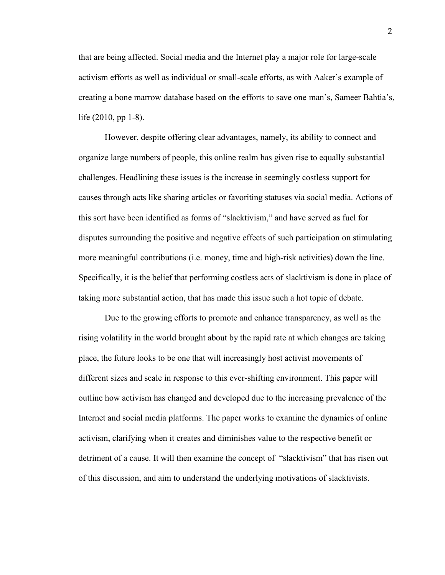that are being affected. Social media and the Internet play a major role for large-scale activism efforts as well as individual or small-scale efforts, as with Aaker's example of creating a bone marrow database based on the efforts to save one man's, Sameer Bahtia's, life (2010, pp 1-8).

However, despite offering clear advantages, namely, its ability to connect and organize large numbers of people, this online realm has given rise to equally substantial challenges. Headlining these issues is the increase in seemingly costless support for causes through acts like sharing articles or favoriting statuses via social media. Actions of this sort have been identified as forms of "slacktivism," and have served as fuel for disputes surrounding the positive and negative effects of such participation on stimulating more meaningful contributions (i.e. money, time and high-risk activities) down the line. Specifically, it is the belief that performing costless acts of slacktivism is done in place of taking more substantial action, that has made this issue such a hot topic of debate.

Due to the growing efforts to promote and enhance transparency, as well as the rising volatility in the world brought about by the rapid rate at which changes are taking place, the future looks to be one that will increasingly host activist movements of different sizes and scale in response to this ever-shifting environment. This paper will outline how activism has changed and developed due to the increasing prevalence of the Internet and social media platforms. The paper works to examine the dynamics of online activism, clarifying when it creates and diminishes value to the respective benefit or detriment of a cause. It will then examine the concept of "slacktivism" that has risen out of this discussion, and aim to understand the underlying motivations of slacktivists.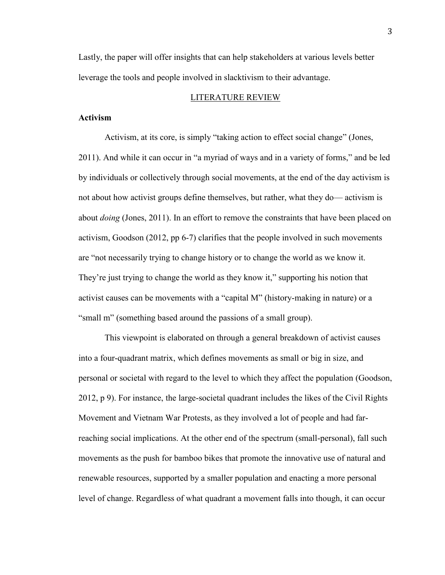Lastly, the paper will offer insights that can help stakeholders at various levels better leverage the tools and people involved in slacktivism to their advantage.

## LITERATURE REVIEW

# **Activism**

Activism, at its core, is simply "taking action to effect social change" (Jones, 2011). And while it can occur in "a myriad of ways and in a variety of forms," and be led by individuals or collectively through social movements, at the end of the day activism is not about how activist groups define themselves, but rather, what they do— activism is about *doing* (Jones, 2011). In an effort to remove the constraints that have been placed on activism, Goodson (2012, pp 6-7) clarifies that the people involved in such movements are "not necessarily trying to change history or to change the world as we know it. They're just trying to change the world as they know it," supporting his notion that activist causes can be movements with a "capital M" (history-making in nature) or a "small m" (something based around the passions of a small group).

This viewpoint is elaborated on through a general breakdown of activist causes into a four-quadrant matrix, which defines movements as small or big in size, and personal or societal with regard to the level to which they affect the population (Goodson, 2012, p 9). For instance, the large-societal quadrant includes the likes of the Civil Rights Movement and Vietnam War Protests, as they involved a lot of people and had farreaching social implications. At the other end of the spectrum (small-personal), fall such movements as the push for bamboo bikes that promote the innovative use of natural and renewable resources, supported by a smaller population and enacting a more personal level of change. Regardless of what quadrant a movement falls into though, it can occur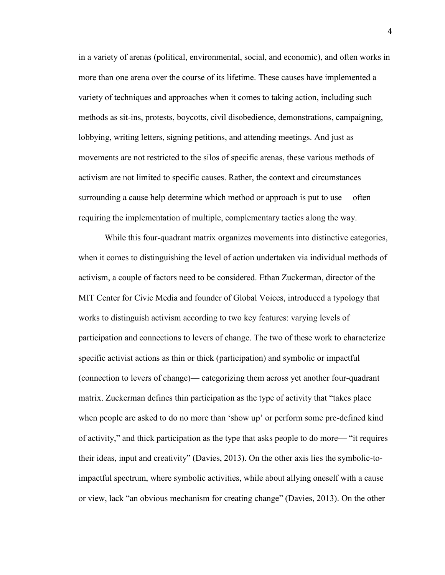in a variety of arenas (political, environmental, social, and economic), and often works in more than one arena over the course of its lifetime. These causes have implemented a variety of techniques and approaches when it comes to taking action, including such methods as sit-ins, protests, boycotts, civil disobedience, demonstrations, campaigning, lobbying, writing letters, signing petitions, and attending meetings. And just as movements are not restricted to the silos of specific arenas, these various methods of activism are not limited to specific causes. Rather, the context and circumstances surrounding a cause help determine which method or approach is put to use— often requiring the implementation of multiple, complementary tactics along the way.

While this four-quadrant matrix organizes movements into distinctive categories, when it comes to distinguishing the level of action undertaken via individual methods of activism, a couple of factors need to be considered. Ethan Zuckerman, director of the MIT Center for Civic Media and founder of Global Voices, introduced a typology that works to distinguish activism according to two key features: varying levels of participation and connections to levers of change. The two of these work to characterize specific activist actions as thin or thick (participation) and symbolic or impactful (connection to levers of change)— categorizing them across yet another four-quadrant matrix. Zuckerman defines thin participation as the type of activity that "takes place when people are asked to do no more than 'show up' or perform some pre-defined kind of activity," and thick participation as the type that asks people to do more— "it requires their ideas, input and creativity" (Davies, 2013). On the other axis lies the symbolic-toimpactful spectrum, where symbolic activities, while about allying oneself with a cause or view, lack "an obvious mechanism for creating change" (Davies, 2013). On the other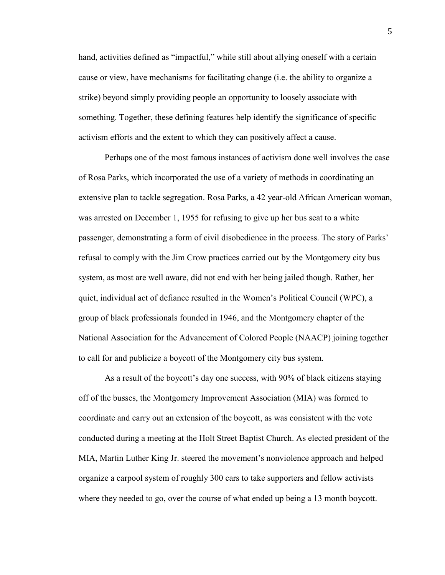hand, activities defined as "impactful," while still about allying oneself with a certain cause or view, have mechanisms for facilitating change (i.e. the ability to organize a strike) beyond simply providing people an opportunity to loosely associate with something. Together, these defining features help identify the significance of specific activism efforts and the extent to which they can positively affect a cause.

Perhaps one of the most famous instances of activism done well involves the case of Rosa Parks, which incorporated the use of a variety of methods in coordinating an extensive plan to tackle segregation. Rosa Parks, a 42 year-old African American woman, was arrested on December 1, 1955 for refusing to give up her bus seat to a white passenger, demonstrating a form of civil disobedience in the process. The story of Parks' refusal to comply with the Jim Crow practices carried out by the Montgomery city bus system, as most are well aware, did not end with her being jailed though. Rather, her quiet, individual act of defiance resulted in the Women's Political Council (WPC), a group of black professionals founded in 1946, and the Montgomery chapter of the National Association for the Advancement of Colored People (NAACP) joining together to call for and publicize a boycott of the Montgomery city bus system.

As a result of the boycott's day one success, with 90% of black citizens staying off of the busses, the Montgomery Improvement Association (MIA) was formed to coordinate and carry out an extension of the boycott, as was consistent with the vote conducted during a meeting at the Holt Street Baptist Church. As elected president of the MIA, Martin Luther King Jr. steered the movement's nonviolence approach and helped organize a carpool system of roughly 300 cars to take supporters and fellow activists where they needed to go, over the course of what ended up being a 13 month boycott.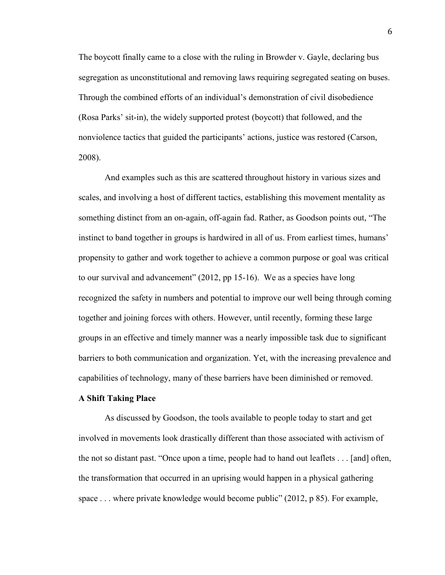The boycott finally came to a close with the ruling in Browder v. Gayle, declaring bus segregation as unconstitutional and removing laws requiring segregated seating on buses. Through the combined efforts of an individual's demonstration of civil disobedience (Rosa Parks' sit-in), the widely supported protest (boycott) that followed, and the nonviolence tactics that guided the participants' actions, justice was restored (Carson, 2008).

And examples such as this are scattered throughout history in various sizes and scales, and involving a host of different tactics, establishing this movement mentality as something distinct from an on-again, off-again fad. Rather, as Goodson points out, "The instinct to band together in groups is hardwired in all of us. From earliest times, humans' propensity to gather and work together to achieve a common purpose or goal was critical to our survival and advancement" (2012, pp 15-16). We as a species have long recognized the safety in numbers and potential to improve our well being through coming together and joining forces with others. However, until recently, forming these large groups in an effective and timely manner was a nearly impossible task due to significant barriers to both communication and organization. Yet, with the increasing prevalence and capabilities of technology, many of these barriers have been diminished or removed.

### **A Shift Taking Place**

As discussed by Goodson, the tools available to people today to start and get involved in movements look drastically different than those associated with activism of the not so distant past. "Once upon a time, people had to hand out leaflets . . . [and] often, the transformation that occurred in an uprising would happen in a physical gathering space . . . where private knowledge would become public" (2012, p 85). For example,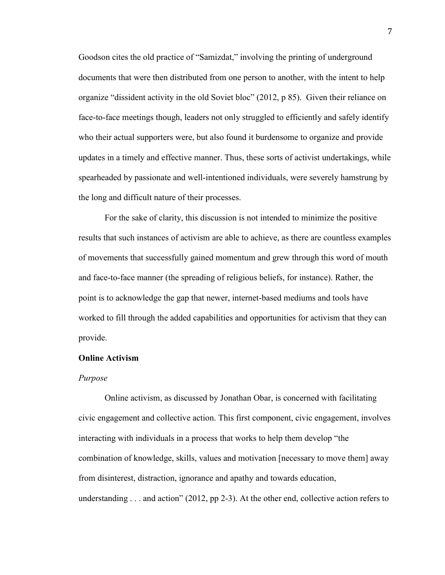Goodson cites the old practice of "Samizdat," involving the printing of underground documents that were then distributed from one person to another, with the intent to help organize "dissident activity in the old Soviet bloc" (2012, p 85). Given their reliance on face-to-face meetings though, leaders not only struggled to efficiently and safely identify who their actual supporters were, but also found it burdensome to organize and provide updates in a timely and effective manner. Thus, these sorts of activist undertakings, while spearheaded by passionate and well-intentioned individuals, were severely hamstrung by the long and difficult nature of their processes.

For the sake of clarity, this discussion is not intended to minimize the positive results that such instances of activism are able to achieve, as there are countless examples of movements that successfully gained momentum and grew through this word of mouth and face-to-face manner (the spreading of religious beliefs, for instance). Rather, the point is to acknowledge the gap that newer, internet-based mediums and tools have worked to fill through the added capabilities and opportunities for activism that they can provide.

### **Online Activism**

### *Purpose*

Online activism, as discussed by Jonathan Obar, is concerned with facilitating civic engagement and collective action. This first component, civic engagement, involves interacting with individuals in a process that works to help them develop "the combination of knowledge, skills, values and motivation [necessary to move them] away from disinterest, distraction, ignorance and apathy and towards education, understanding . . . and action" (2012, pp 2-3). At the other end, collective action refers to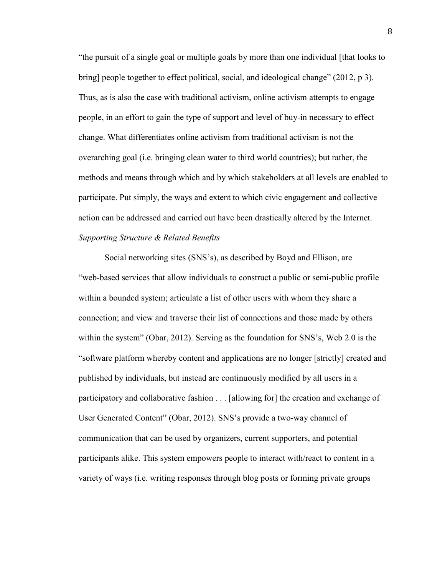"the pursuit of a single goal or multiple goals by more than one individual [that looks to bring] people together to effect political, social, and ideological change" (2012, p 3). Thus, as is also the case with traditional activism, online activism attempts to engage people, in an effort to gain the type of support and level of buy-in necessary to effect change. What differentiates online activism from traditional activism is not the overarching goal (i.e. bringing clean water to third world countries); but rather, the methods and means through which and by which stakeholders at all levels are enabled to participate. Put simply, the ways and extent to which civic engagement and collective action can be addressed and carried out have been drastically altered by the Internet. *Supporting Structure & Related Benefits*

Social networking sites (SNS's), as described by Boyd and Ellison, are "web-based services that allow individuals to construct a public or semi-public profile within a bounded system; articulate a list of other users with whom they share a connection; and view and traverse their list of connections and those made by others within the system" (Obar, 2012). Serving as the foundation for SNS's, Web 2.0 is the "software platform whereby content and applications are no longer [strictly] created and published by individuals, but instead are continuously modified by all users in a participatory and collaborative fashion . . . [allowing for] the creation and exchange of User Generated Content" (Obar, 2012). SNS's provide a two-way channel of communication that can be used by organizers, current supporters, and potential participants alike. This system empowers people to interact with/react to content in a variety of ways (i.e. writing responses through blog posts or forming private groups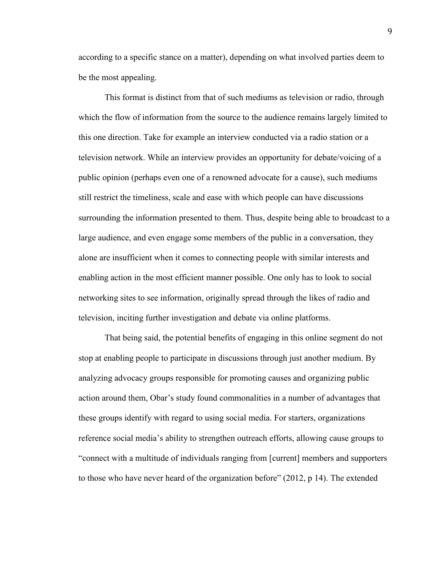according to a specific stance on a matter), depending on what involved parties deem to be the most appealing.

This format is distinct from that of such mediums as television or radio, through which the flow of information from the source to the audience remains largely limited to this one direction. Take for example an interview conducted via a radio station or a television network. While an interview provides an opportunity for debate/voicing of a public opinion (perhaps even one of a renowned advocate for a cause), such mediums still restrict the timeliness, scale and ease with which people can have discussions surrounding the information presented to them. Thus, despite being able to broadcast to a large audience, and even engage some members of the public in a conversation, they alone are insufficient when it comes to connecting people with similar interests and enabling action in the most efficient manner possible. One only has to look to social networking sites to see information, originally spread through the likes of radio and television, inciting further investigation and debate via online platforms.

That being said, the potential benefits of engaging in this online segment do not stop at enabling people to participate in discussions through just another medium. By analyzing advocacy groups responsible for promoting causes and organizing public action around them, Obar's study found commonalities in a number of advantages that these groups identify with regard to using social media. For starters, organizations reference social media's ability to strengthen outreach efforts, allowing cause groups to "connect with a multitude of individuals ranging from [current] members and supporters to those who have never heard of the organization before" (2012, p 14). The extended

9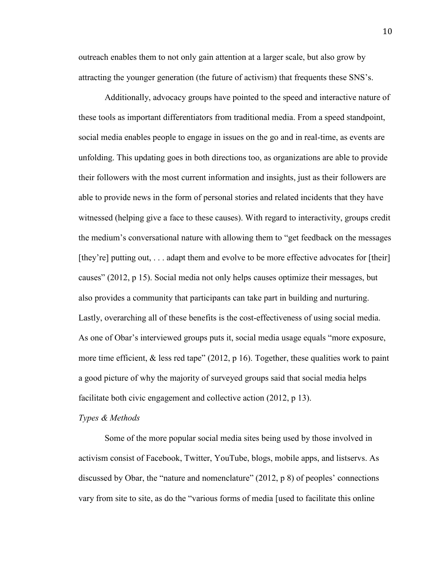outreach enables them to not only gain attention at a larger scale, but also grow by attracting the younger generation (the future of activism) that frequents these SNS's.

Additionally, advocacy groups have pointed to the speed and interactive nature of these tools as important differentiators from traditional media. From a speed standpoint, social media enables people to engage in issues on the go and in real-time, as events are unfolding. This updating goes in both directions too, as organizations are able to provide their followers with the most current information and insights, just as their followers are able to provide news in the form of personal stories and related incidents that they have witnessed (helping give a face to these causes). With regard to interactivity, groups credit the medium's conversational nature with allowing them to "get feedback on the messages [they're] putting out, . . . adapt them and evolve to be more effective advocates for [their] causes" (2012, p 15). Social media not only helps causes optimize their messages, but also provides a community that participants can take part in building and nurturing. Lastly, overarching all of these benefits is the cost-effectiveness of using social media. As one of Obar's interviewed groups puts it, social media usage equals "more exposure, more time efficient, & less red tape" (2012, p 16). Together, these qualities work to paint a good picture of why the majority of surveyed groups said that social media helps facilitate both civic engagement and collective action (2012, p 13).

#### *Types & Methods*

Some of the more popular social media sites being used by those involved in activism consist of Facebook, Twitter, YouTube, blogs, mobile apps, and listservs. As discussed by Obar, the "nature and nomenclature" (2012, p 8) of peoples' connections vary from site to site, as do the "various forms of media [used to facilitate this online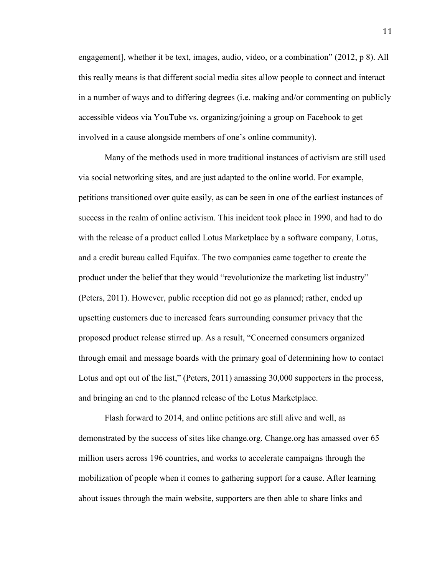engagement], whether it be text, images, audio, video, or a combination" (2012, p 8). All this really means is that different social media sites allow people to connect and interact in a number of ways and to differing degrees (i.e. making and/or commenting on publicly accessible videos via YouTube vs. organizing/joining a group on Facebook to get involved in a cause alongside members of one's online community).

Many of the methods used in more traditional instances of activism are still used via social networking sites, and are just adapted to the online world. For example, petitions transitioned over quite easily, as can be seen in one of the earliest instances of success in the realm of online activism. This incident took place in 1990, and had to do with the release of a product called Lotus Marketplace by a software company, Lotus, and a credit bureau called Equifax. The two companies came together to create the product under the belief that they would "revolutionize the marketing list industry" (Peters, 2011). However, public reception did not go as planned; rather, ended up upsetting customers due to increased fears surrounding consumer privacy that the proposed product release stirred up. As a result, "Concerned consumers organized through email and message boards with the primary goal of determining how to contact Lotus and opt out of the list," (Peters, 2011) amassing 30,000 supporters in the process, and bringing an end to the planned release of the Lotus Marketplace.

Flash forward to 2014, and online petitions are still alive and well, as demonstrated by the success of sites like change.org. Change.org has amassed over 65 million users across 196 countries, and works to accelerate campaigns through the mobilization of people when it comes to gathering support for a cause. After learning about issues through the main website, supporters are then able to share links and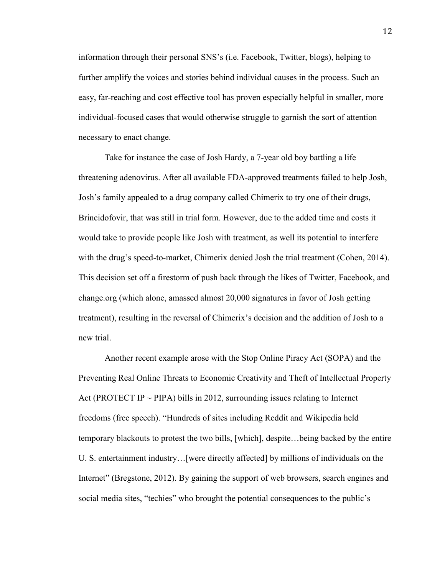information through their personal SNS's (i.e. Facebook, Twitter, blogs), helping to further amplify the voices and stories behind individual causes in the process. Such an easy, far-reaching and cost effective tool has proven especially helpful in smaller, more individual-focused cases that would otherwise struggle to garnish the sort of attention necessary to enact change.

Take for instance the case of Josh Hardy, a 7-year old boy battling a life threatening adenovirus. After all available FDA-approved treatments failed to help Josh, Josh's family appealed to a drug company called Chimerix to try one of their drugs, Brincidofovir, that was still in trial form. However, due to the added time and costs it would take to provide people like Josh with treatment, as well its potential to interfere with the drug's speed-to-market, Chimerix denied Josh the trial treatment (Cohen, 2014). This decision set off a firestorm of push back through the likes of Twitter, Facebook, and change.org (which alone, amassed almost 20,000 signatures in favor of Josh getting treatment), resulting in the reversal of Chimerix's decision and the addition of Josh to a new trial.

Another recent example arose with the Stop Online Piracy Act (SOPA) and the Preventing Real Online Threats to Economic Creativity and Theft of Intellectual Property Act (PROTECT IP  $\sim$  PIPA) bills in 2012, surrounding issues relating to Internet freedoms (free speech). "Hundreds of sites including Reddit and Wikipedia held temporary blackouts to protest the two bills, [which], despite…being backed by the entire U. S. entertainment industry…[were directly affected] by millions of individuals on the Internet" (Bregstone, 2012). By gaining the support of web browsers, search engines and social media sites, "techies" who brought the potential consequences to the public's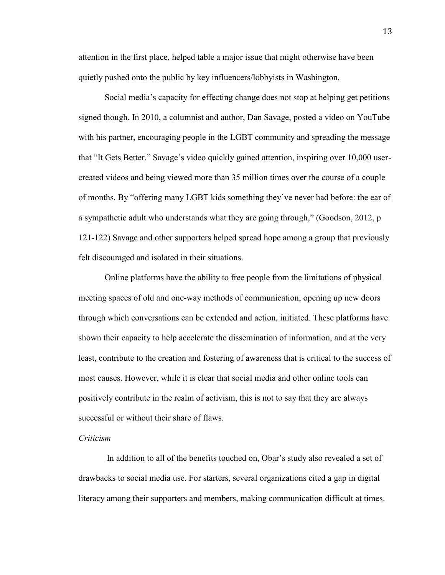attention in the first place, helped table a major issue that might otherwise have been quietly pushed onto the public by key influencers/lobbyists in Washington.

Social media's capacity for effecting change does not stop at helping get petitions signed though. In 2010, a columnist and author, Dan Savage, posted a video on YouTube with his partner, encouraging people in the LGBT community and spreading the message that "It Gets Better." Savage's video quickly gained attention, inspiring over 10,000 usercreated videos and being viewed more than 35 million times over the course of a couple of months. By "offering many LGBT kids something they've never had before: the ear of a sympathetic adult who understands what they are going through," (Goodson, 2012, p 121-122) Savage and other supporters helped spread hope among a group that previously felt discouraged and isolated in their situations.

Online platforms have the ability to free people from the limitations of physical meeting spaces of old and one-way methods of communication, opening up new doors through which conversations can be extended and action, initiated. These platforms have shown their capacity to help accelerate the dissemination of information, and at the very least, contribute to the creation and fostering of awareness that is critical to the success of most causes. However, while it is clear that social media and other online tools can positively contribute in the realm of activism, this is not to say that they are always successful or without their share of flaws.

# *Criticism*

In addition to all of the benefits touched on, Obar's study also revealed a set of drawbacks to social media use. For starters, several organizations cited a gap in digital literacy among their supporters and members, making communication difficult at times.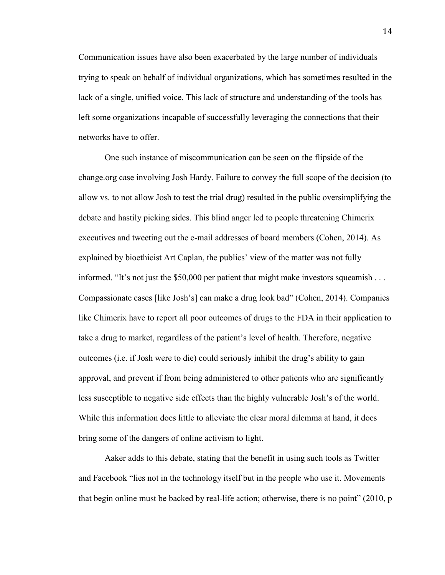Communication issues have also been exacerbated by the large number of individuals trying to speak on behalf of individual organizations, which has sometimes resulted in the lack of a single, unified voice. This lack of structure and understanding of the tools has left some organizations incapable of successfully leveraging the connections that their networks have to offer.

One such instance of miscommunication can be seen on the flipside of the change.org case involving Josh Hardy. Failure to convey the full scope of the decision (to allow vs. to not allow Josh to test the trial drug) resulted in the public oversimplifying the debate and hastily picking sides. This blind anger led to people threatening Chimerix executives and tweeting out the e-mail addresses of board members (Cohen, 2014). As explained by bioethicist Art Caplan, the publics' view of the matter was not fully informed. "It's not just the \$50,000 per patient that might make investors squeamish . . . Compassionate cases [like Josh's] can make a drug look bad" (Cohen, 2014). Companies like Chimerix have to report all poor outcomes of drugs to the FDA in their application to take a drug to market, regardless of the patient's level of health. Therefore, negative outcomes (i.e. if Josh were to die) could seriously inhibit the drug's ability to gain approval, and prevent if from being administered to other patients who are significantly less susceptible to negative side effects than the highly vulnerable Josh's of the world. While this information does little to alleviate the clear moral dilemma at hand, it does bring some of the dangers of online activism to light.

Aaker adds to this debate, stating that the benefit in using such tools as Twitter and Facebook "lies not in the technology itself but in the people who use it. Movements that begin online must be backed by real-life action; otherwise, there is no point" (2010, p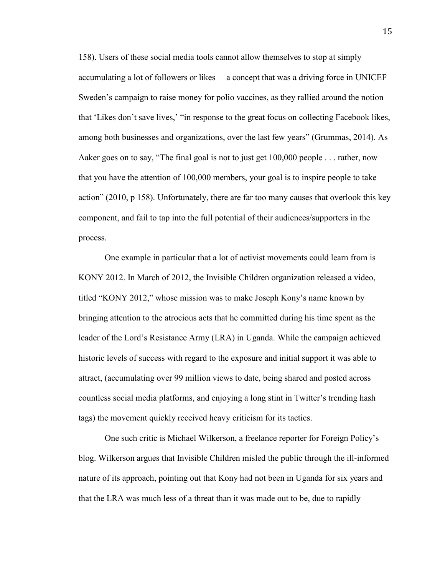158). Users of these social media tools cannot allow themselves to stop at simply accumulating a lot of followers or likes— a concept that was a driving force in UNICEF Sweden's campaign to raise money for polio vaccines, as they rallied around the notion that 'Likes don't save lives,' "in response to the great focus on collecting Facebook likes, among both businesses and organizations, over the last few years" (Grummas, 2014). As Aaker goes on to say, "The final goal is not to just get 100,000 people . . . rather, now that you have the attention of 100,000 members, your goal is to inspire people to take action" (2010, p 158). Unfortunately, there are far too many causes that overlook this key component, and fail to tap into the full potential of their audiences/supporters in the process.

One example in particular that a lot of activist movements could learn from is KONY 2012. In March of 2012, the Invisible Children organization released a video, titled "KONY 2012," whose mission was to make Joseph Kony's name known by bringing attention to the atrocious acts that he committed during his time spent as the leader of the Lord's Resistance Army (LRA) in Uganda. While the campaign achieved historic levels of success with regard to the exposure and initial support it was able to attract, (accumulating over 99 million views to date, being shared and posted across countless social media platforms, and enjoying a long stint in Twitter's trending hash tags) the movement quickly received heavy criticism for its tactics.

One such critic is Michael Wilkerson, a freelance reporter for Foreign Policy's blog. Wilkerson argues that Invisible Children misled the public through the ill-informed nature of its approach, pointing out that Kony had not been in Uganda for six years and that the LRA was much less of a threat than it was made out to be, due to rapidly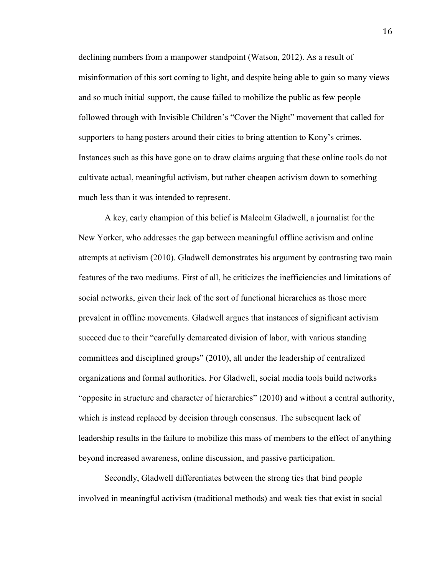declining numbers from a manpower standpoint (Watson, 2012). As a result of misinformation of this sort coming to light, and despite being able to gain so many views and so much initial support, the cause failed to mobilize the public as few people followed through with Invisible Children's "Cover the Night" movement that called for supporters to hang posters around their cities to bring attention to Kony's crimes. Instances such as this have gone on to draw claims arguing that these online tools do not cultivate actual, meaningful activism, but rather cheapen activism down to something much less than it was intended to represent.

A key, early champion of this belief is Malcolm Gladwell, a journalist for the New Yorker, who addresses the gap between meaningful offline activism and online attempts at activism (2010). Gladwell demonstrates his argument by contrasting two main features of the two mediums. First of all, he criticizes the inefficiencies and limitations of social networks, given their lack of the sort of functional hierarchies as those more prevalent in offline movements. Gladwell argues that instances of significant activism succeed due to their "carefully demarcated division of labor, with various standing committees and disciplined groups" (2010), all under the leadership of centralized organizations and formal authorities. For Gladwell, social media tools build networks "opposite in structure and character of hierarchies" (2010) and without a central authority, which is instead replaced by decision through consensus. The subsequent lack of leadership results in the failure to mobilize this mass of members to the effect of anything beyond increased awareness, online discussion, and passive participation.

Secondly, Gladwell differentiates between the strong ties that bind people involved in meaningful activism (traditional methods) and weak ties that exist in social

16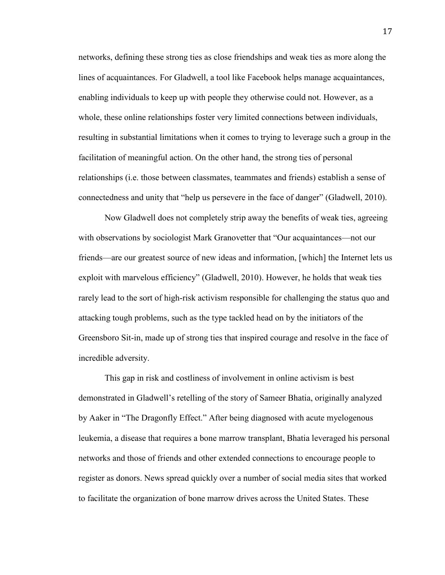networks, defining these strong ties as close friendships and weak ties as more along the lines of acquaintances. For Gladwell, a tool like Facebook helps manage acquaintances, enabling individuals to keep up with people they otherwise could not. However, as a whole, these online relationships foster very limited connections between individuals, resulting in substantial limitations when it comes to trying to leverage such a group in the facilitation of meaningful action. On the other hand, the strong ties of personal relationships (i.e. those between classmates, teammates and friends) establish a sense of connectedness and unity that "help us persevere in the face of danger" (Gladwell, 2010).

Now Gladwell does not completely strip away the benefits of weak ties, agreeing with observations by sociologist Mark Granovetter that "Our acquaintances—not our friends—are our greatest source of new ideas and information, [which] the Internet lets us exploit with marvelous efficiency" (Gladwell, 2010). However, he holds that weak ties rarely lead to the sort of high-risk activism responsible for challenging the status quo and attacking tough problems, such as the type tackled head on by the initiators of the Greensboro Sit-in, made up of strong ties that inspired courage and resolve in the face of incredible adversity.

This gap in risk and costliness of involvement in online activism is best demonstrated in Gladwell's retelling of the story of Sameer Bhatia, originally analyzed by Aaker in "The Dragonfly Effect." After being diagnosed with acute myelogenous leukemia, a disease that requires a bone marrow transplant, Bhatia leveraged his personal networks and those of friends and other extended connections to encourage people to register as donors. News spread quickly over a number of social media sites that worked to facilitate the organization of bone marrow drives across the United States. These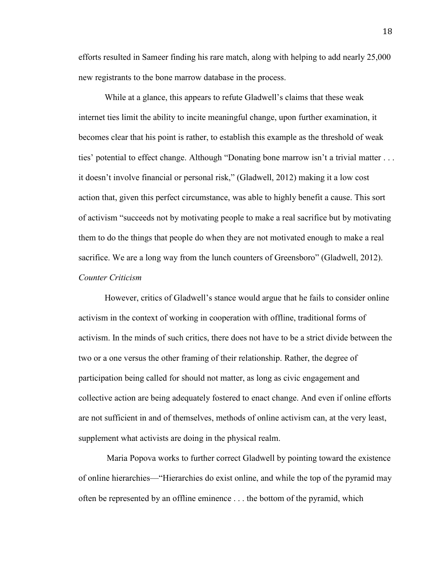efforts resulted in Sameer finding his rare match, along with helping to add nearly 25,000 new registrants to the bone marrow database in the process.

While at a glance, this appears to refute Gladwell's claims that these weak internet ties limit the ability to incite meaningful change, upon further examination, it becomes clear that his point is rather, to establish this example as the threshold of weak ties' potential to effect change. Although "Donating bone marrow isn't a trivial matter . . . it doesn't involve financial or personal risk," (Gladwell, 2012) making it a low cost action that, given this perfect circumstance, was able to highly benefit a cause. This sort of activism "succeeds not by motivating people to make a real sacrifice but by motivating them to do the things that people do when they are not motivated enough to make a real sacrifice. We are a long way from the lunch counters of Greensboro" (Gladwell, 2012). *Counter Criticism*

However, critics of Gladwell's stance would argue that he fails to consider online activism in the context of working in cooperation with offline, traditional forms of activism. In the minds of such critics, there does not have to be a strict divide between the two or a one versus the other framing of their relationship. Rather, the degree of participation being called for should not matter, as long as civic engagement and collective action are being adequately fostered to enact change. And even if online efforts are not sufficient in and of themselves, methods of online activism can, at the very least, supplement what activists are doing in the physical realm.

Maria Popova works to further correct Gladwell by pointing toward the existence of online hierarchies—"Hierarchies do exist online, and while the top of the pyramid may often be represented by an offline eminence . . . the bottom of the pyramid, which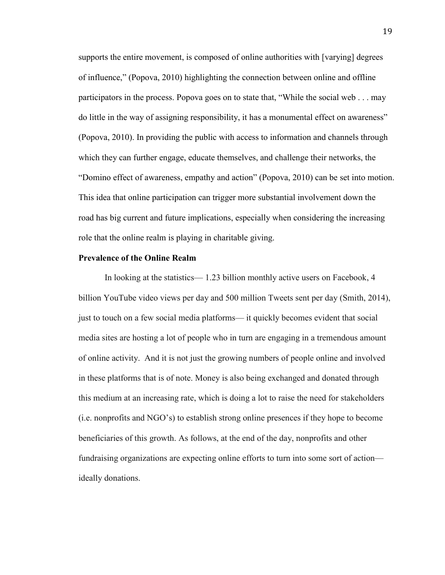supports the entire movement, is composed of online authorities with [varying] degrees of influence," (Popova, 2010) highlighting the connection between online and offline participators in the process. Popova goes on to state that, "While the social web . . . may do little in the way of assigning responsibility, it has a monumental effect on awareness" (Popova, 2010). In providing the public with access to information and channels through which they can further engage, educate themselves, and challenge their networks, the "Domino effect of awareness, empathy and action" (Popova, 2010) can be set into motion. This idea that online participation can trigger more substantial involvement down the road has big current and future implications, especially when considering the increasing role that the online realm is playing in charitable giving.

### **Prevalence of the Online Realm**

In looking at the statistics— 1.23 billion monthly active users on Facebook, 4 billion YouTube video views per day and 500 million Tweets sent per day (Smith, 2014), just to touch on a few social media platforms— it quickly becomes evident that social media sites are hosting a lot of people who in turn are engaging in a tremendous amount of online activity. And it is not just the growing numbers of people online and involved in these platforms that is of note. Money is also being exchanged and donated through this medium at an increasing rate, which is doing a lot to raise the need for stakeholders (i.e. nonprofits and NGO's) to establish strong online presences if they hope to become beneficiaries of this growth. As follows, at the end of the day, nonprofits and other fundraising organizations are expecting online efforts to turn into some sort of action ideally donations.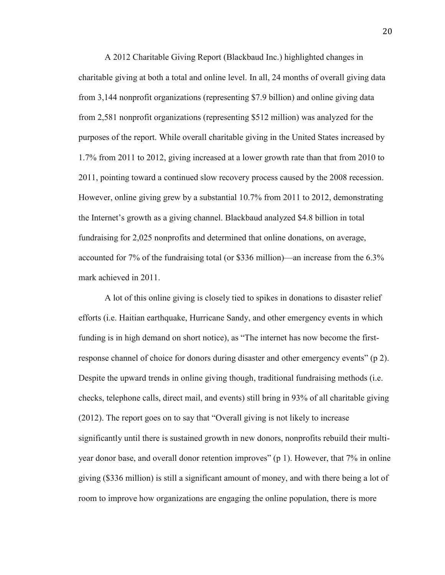A 2012 Charitable Giving Report (Blackbaud Inc.) highlighted changes in charitable giving at both a total and online level. In all, 24 months of overall giving data from 3,144 nonprofit organizations (representing \$7.9 billion) and online giving data from 2,581 nonprofit organizations (representing \$512 million) was analyzed for the purposes of the report. While overall charitable giving in the United States increased by 1.7% from 2011 to 2012, giving increased at a lower growth rate than that from 2010 to 2011, pointing toward a continued slow recovery process caused by the 2008 recession. However, online giving grew by a substantial 10.7% from 2011 to 2012, demonstrating the Internet's growth as a giving channel. Blackbaud analyzed \$4.8 billion in total fundraising for 2,025 nonprofits and determined that online donations, on average, accounted for 7% of the fundraising total (or \$336 million)—an increase from the 6.3% mark achieved in 2011.

A lot of this online giving is closely tied to spikes in donations to disaster relief efforts (i.e. Haitian earthquake, Hurricane Sandy, and other emergency events in which funding is in high demand on short notice), as "The internet has now become the firstresponse channel of choice for donors during disaster and other emergency events" (p 2). Despite the upward trends in online giving though, traditional fundraising methods (i.e. checks, telephone calls, direct mail, and events) still bring in 93% of all charitable giving (2012). The report goes on to say that "Overall giving is not likely to increase significantly until there is sustained growth in new donors, nonprofits rebuild their multiyear donor base, and overall donor retention improves" (p 1). However, that 7% in online giving (\$336 million) is still a significant amount of money, and with there being a lot of room to improve how organizations are engaging the online population, there is more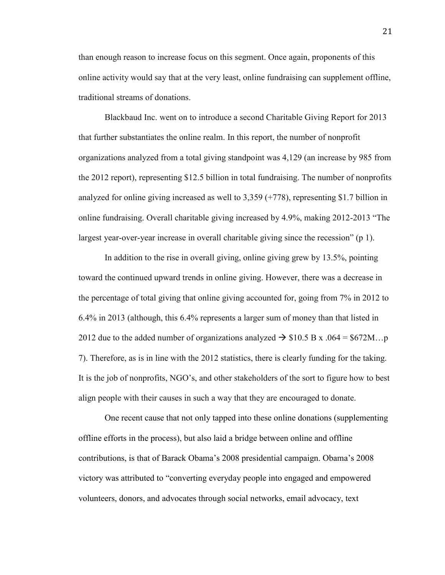than enough reason to increase focus on this segment. Once again, proponents of this online activity would say that at the very least, online fundraising can supplement offline, traditional streams of donations.

Blackbaud Inc. went on to introduce a second Charitable Giving Report for 2013 that further substantiates the online realm. In this report, the number of nonprofit organizations analyzed from a total giving standpoint was 4,129 (an increase by 985 from the 2012 report), representing \$12.5 billion in total fundraising. The number of nonprofits analyzed for online giving increased as well to 3,359 (+778), representing \$1.7 billion in online fundraising. Overall charitable giving increased by 4.9%, making 2012-2013 "The largest year-over-year increase in overall charitable giving since the recession" (p 1).

In addition to the rise in overall giving, online giving grew by 13.5%, pointing toward the continued upward trends in online giving. However, there was a decrease in the percentage of total giving that online giving accounted for, going from 7% in 2012 to 6.4% in 2013 (although, this 6.4% represents a larger sum of money than that listed in 2012 due to the added number of organizations analyzed  $\rightarrow$  \$10.5 B x .064 = \$672M...p 7). Therefore, as is in line with the 2012 statistics, there is clearly funding for the taking. It is the job of nonprofits, NGO's, and other stakeholders of the sort to figure how to best align people with their causes in such a way that they are encouraged to donate.

One recent cause that not only tapped into these online donations (supplementing offline efforts in the process), but also laid a bridge between online and offline contributions, is that of Barack Obama's 2008 presidential campaign. Obama's 2008 victory was attributed to "converting everyday people into engaged and empowered volunteers, donors, and advocates through social networks, email advocacy, text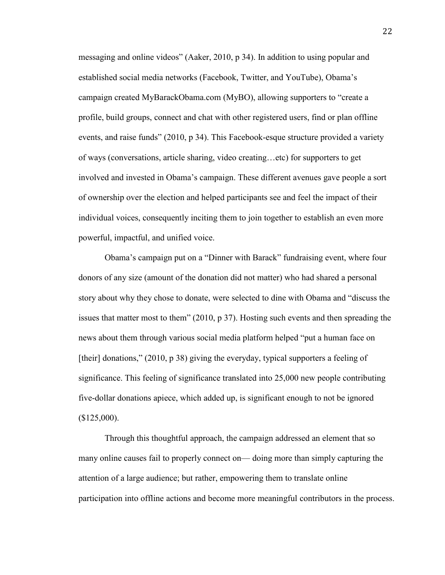messaging and online videos" (Aaker, 2010, p 34). In addition to using popular and established social media networks (Facebook, Twitter, and YouTube), Obama's campaign created MyBarackObama.com (MyBO), allowing supporters to "create a profile, build groups, connect and chat with other registered users, find or plan offline events, and raise funds" (2010, p 34). This Facebook-esque structure provided a variety of ways (conversations, article sharing, video creating…etc) for supporters to get involved and invested in Obama's campaign. These different avenues gave people a sort of ownership over the election and helped participants see and feel the impact of their individual voices, consequently inciting them to join together to establish an even more powerful, impactful, and unified voice.

Obama's campaign put on a "Dinner with Barack" fundraising event, where four donors of any size (amount of the donation did not matter) who had shared a personal story about why they chose to donate, were selected to dine with Obama and "discuss the issues that matter most to them" (2010, p 37). Hosting such events and then spreading the news about them through various social media platform helped "put a human face on [their] donations," (2010, p 38) giving the everyday, typical supporters a feeling of significance. This feeling of significance translated into 25,000 new people contributing five-dollar donations apiece, which added up, is significant enough to not be ignored  $$125,000$ ).

Through this thoughtful approach, the campaign addressed an element that so many online causes fail to properly connect on— doing more than simply capturing the attention of a large audience; but rather, empowering them to translate online participation into offline actions and become more meaningful contributors in the process.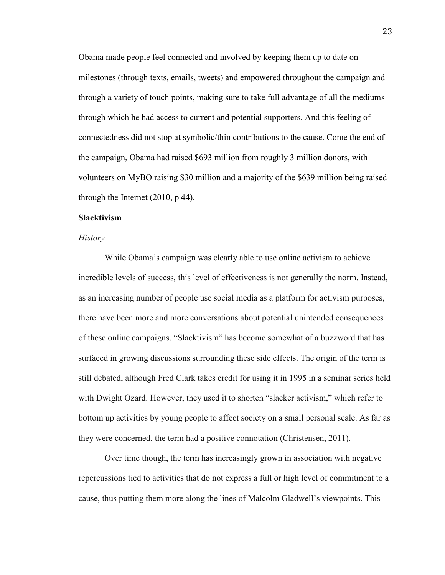Obama made people feel connected and involved by keeping them up to date on milestones (through texts, emails, tweets) and empowered throughout the campaign and through a variety of touch points, making sure to take full advantage of all the mediums through which he had access to current and potential supporters. And this feeling of connectedness did not stop at symbolic/thin contributions to the cause. Come the end of the campaign, Obama had raised \$693 million from roughly 3 million donors, with volunteers on MyBO raising \$30 million and a majority of the \$639 million being raised through the Internet (2010, p 44).

## **Slacktivism**

### *History*

While Obama's campaign was clearly able to use online activism to achieve incredible levels of success, this level of effectiveness is not generally the norm. Instead, as an increasing number of people use social media as a platform for activism purposes, there have been more and more conversations about potential unintended consequences of these online campaigns. "Slacktivism" has become somewhat of a buzzword that has surfaced in growing discussions surrounding these side effects. The origin of the term is still debated, although Fred Clark takes credit for using it in 1995 in a seminar series held with Dwight Ozard. However, they used it to shorten "slacker activism," which refer to bottom up activities by young people to affect society on a small personal scale. As far as they were concerned, the term had a positive connotation (Christensen, 2011).

Over time though, the term has increasingly grown in association with negative repercussions tied to activities that do not express a full or high level of commitment to a cause, thus putting them more along the lines of Malcolm Gladwell's viewpoints. This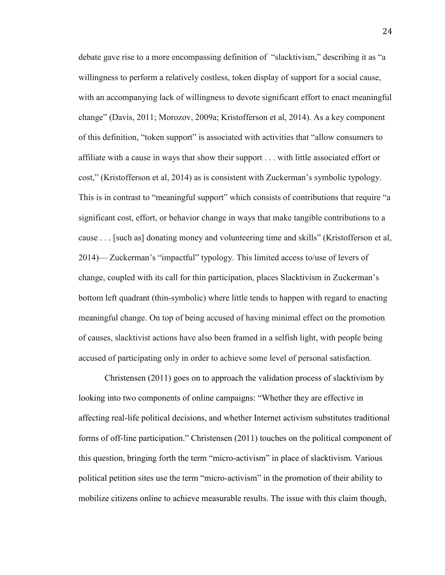debate gave rise to a more encompassing definition of "slacktivism," describing it as "a willingness to perform a relatively costless, token display of support for a social cause, with an accompanying lack of willingness to devote significant effort to enact meaningful change" (Davis, 2011; Morozov, 2009a; Kristofferson et al, 2014). As a key component of this definition, "token support" is associated with activities that "allow consumers to affiliate with a cause in ways that show their support . . . with little associated effort or cost," (Kristofferson et al, 2014) as is consistent with Zuckerman's symbolic typology. This is in contrast to "meaningful support" which consists of contributions that require "a significant cost, effort, or behavior change in ways that make tangible contributions to a cause . . . [such as] donating money and volunteering time and skills" (Kristofferson et al, 2014)— Zuckerman's "impactful" typology. This limited access to/use of levers of change, coupled with its call for thin participation, places Slacktivism in Zuckerman's bottom left quadrant (thin-symbolic) where little tends to happen with regard to enacting meaningful change. On top of being accused of having minimal effect on the promotion of causes, slacktivist actions have also been framed in a selfish light, with people being accused of participating only in order to achieve some level of personal satisfaction.

Christensen (2011) goes on to approach the validation process of slacktivism by looking into two components of online campaigns: "Whether they are effective in affecting real-life political decisions, and whether Internet activism substitutes traditional forms of off-line participation." Christensen (2011) touches on the political component of this question, bringing forth the term "micro-activism" in place of slacktivism. Various political petition sites use the term "micro-activism" in the promotion of their ability to mobilize citizens online to achieve measurable results. The issue with this claim though,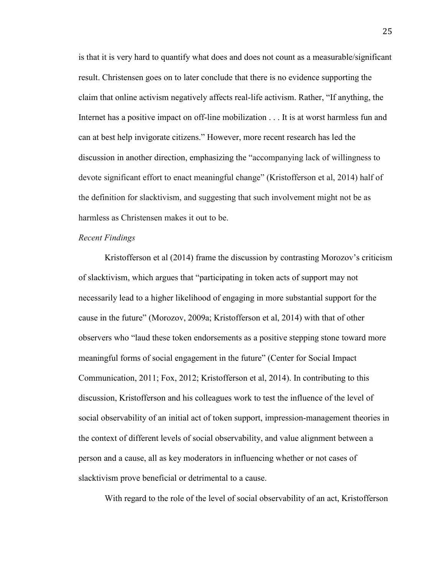is that it is very hard to quantify what does and does not count as a measurable/significant result. Christensen goes on to later conclude that there is no evidence supporting the claim that online activism negatively affects real-life activism. Rather, "If anything, the Internet has a positive impact on off-line mobilization . . . It is at worst harmless fun and can at best help invigorate citizens." However, more recent research has led the discussion in another direction, emphasizing the "accompanying lack of willingness to devote significant effort to enact meaningful change" (Kristofferson et al, 2014) half of the definition for slacktivism, and suggesting that such involvement might not be as harmless as Christensen makes it out to be.

### *Recent Findings*

Kristofferson et al (2014) frame the discussion by contrasting Morozov's criticism of slacktivism, which argues that "participating in token acts of support may not necessarily lead to a higher likelihood of engaging in more substantial support for the cause in the future" (Morozov, 2009a; Kristofferson et al, 2014) with that of other observers who "laud these token endorsements as a positive stepping stone toward more meaningful forms of social engagement in the future" (Center for Social Impact Communication, 2011; Fox, 2012; Kristofferson et al, 2014). In contributing to this discussion, Kristofferson and his colleagues work to test the influence of the level of social observability of an initial act of token support, impression-management theories in the context of different levels of social observability, and value alignment between a person and a cause, all as key moderators in influencing whether or not cases of slacktivism prove beneficial or detrimental to a cause.

With regard to the role of the level of social observability of an act, Kristofferson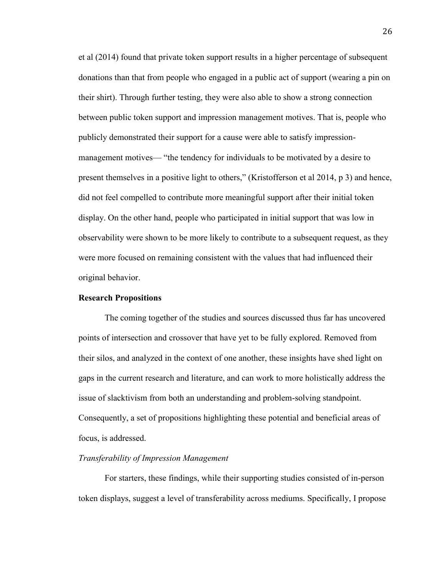et al (2014) found that private token support results in a higher percentage of subsequent donations than that from people who engaged in a public act of support (wearing a pin on their shirt). Through further testing, they were also able to show a strong connection between public token support and impression management motives. That is, people who publicly demonstrated their support for a cause were able to satisfy impressionmanagement motives— "the tendency for individuals to be motivated by a desire to present themselves in a positive light to others," (Kristofferson et al 2014, p 3) and hence, did not feel compelled to contribute more meaningful support after their initial token display. On the other hand, people who participated in initial support that was low in observability were shown to be more likely to contribute to a subsequent request, as they were more focused on remaining consistent with the values that had influenced their original behavior.

## **Research Propositions**

The coming together of the studies and sources discussed thus far has uncovered points of intersection and crossover that have yet to be fully explored. Removed from their silos, and analyzed in the context of one another, these insights have shed light on gaps in the current research and literature, and can work to more holistically address the issue of slacktivism from both an understanding and problem-solving standpoint. Consequently, a set of propositions highlighting these potential and beneficial areas of focus, is addressed.

### *Transferability of Impression Management*

For starters, these findings, while their supporting studies consisted of in-person token displays, suggest a level of transferability across mediums. Specifically, I propose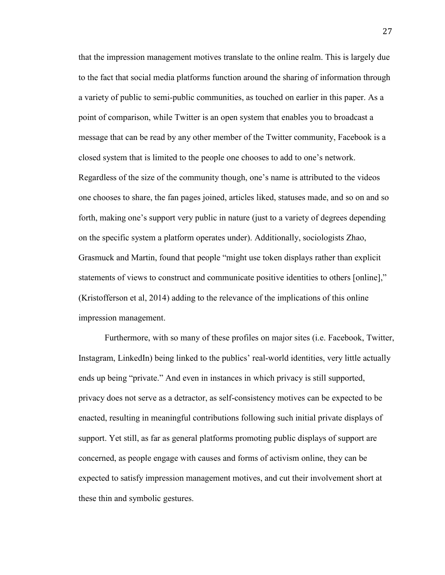that the impression management motives translate to the online realm. This is largely due to the fact that social media platforms function around the sharing of information through a variety of public to semi-public communities, as touched on earlier in this paper. As a point of comparison, while Twitter is an open system that enables you to broadcast a message that can be read by any other member of the Twitter community, Facebook is a closed system that is limited to the people one chooses to add to one's network. Regardless of the size of the community though, one's name is attributed to the videos one chooses to share, the fan pages joined, articles liked, statuses made, and so on and so forth, making one's support very public in nature (just to a variety of degrees depending on the specific system a platform operates under). Additionally, sociologists Zhao, Grasmuck and Martin, found that people "might use token displays rather than explicit statements of views to construct and communicate positive identities to others [online]," (Kristofferson et al, 2014) adding to the relevance of the implications of this online impression management.

Furthermore, with so many of these profiles on major sites (i.e. Facebook, Twitter, Instagram, LinkedIn) being linked to the publics' real-world identities, very little actually ends up being "private." And even in instances in which privacy is still supported, privacy does not serve as a detractor, as self-consistency motives can be expected to be enacted, resulting in meaningful contributions following such initial private displays of support. Yet still, as far as general platforms promoting public displays of support are concerned, as people engage with causes and forms of activism online, they can be expected to satisfy impression management motives, and cut their involvement short at these thin and symbolic gestures.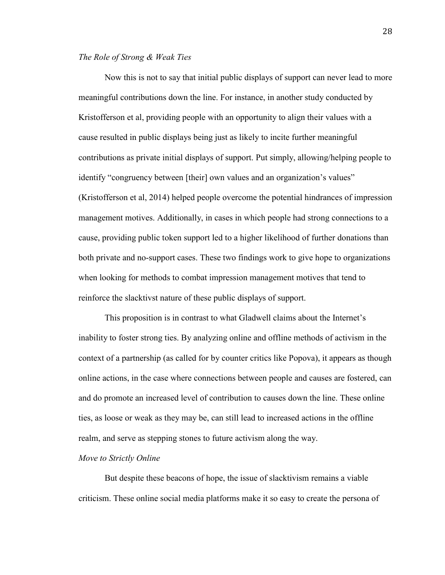# *The Role of Strong & Weak Ties*

Now this is not to say that initial public displays of support can never lead to more meaningful contributions down the line. For instance, in another study conducted by Kristofferson et al, providing people with an opportunity to align their values with a cause resulted in public displays being just as likely to incite further meaningful contributions as private initial displays of support. Put simply, allowing/helping people to identify "congruency between [their] own values and an organization's values" (Kristofferson et al, 2014) helped people overcome the potential hindrances of impression management motives. Additionally, in cases in which people had strong connections to a cause, providing public token support led to a higher likelihood of further donations than both private and no-support cases. These two findings work to give hope to organizations when looking for methods to combat impression management motives that tend to reinforce the slacktivst nature of these public displays of support.

This proposition is in contrast to what Gladwell claims about the Internet's inability to foster strong ties. By analyzing online and offline methods of activism in the context of a partnership (as called for by counter critics like Popova), it appears as though online actions, in the case where connections between people and causes are fostered, can and do promote an increased level of contribution to causes down the line. These online ties, as loose or weak as they may be, can still lead to increased actions in the offline realm, and serve as stepping stones to future activism along the way.

### *Move to Strictly Online*

But despite these beacons of hope, the issue of slacktivism remains a viable criticism. These online social media platforms make it so easy to create the persona of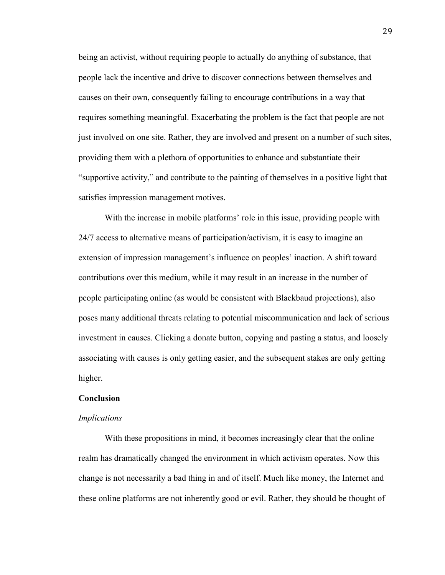being an activist, without requiring people to actually do anything of substance, that people lack the incentive and drive to discover connections between themselves and causes on their own, consequently failing to encourage contributions in a way that requires something meaningful. Exacerbating the problem is the fact that people are not just involved on one site. Rather, they are involved and present on a number of such sites, providing them with a plethora of opportunities to enhance and substantiate their "supportive activity," and contribute to the painting of themselves in a positive light that satisfies impression management motives.

With the increase in mobile platforms' role in this issue, providing people with 24/7 access to alternative means of participation/activism, it is easy to imagine an extension of impression management's influence on peoples' inaction. A shift toward contributions over this medium, while it may result in an increase in the number of people participating online (as would be consistent with Blackbaud projections), also poses many additional threats relating to potential miscommunication and lack of serious investment in causes. Clicking a donate button, copying and pasting a status, and loosely associating with causes is only getting easier, and the subsequent stakes are only getting higher.

### **Conclusion**

#### *Implications*

With these propositions in mind, it becomes increasingly clear that the online realm has dramatically changed the environment in which activism operates. Now this change is not necessarily a bad thing in and of itself. Much like money, the Internet and these online platforms are not inherently good or evil. Rather, they should be thought of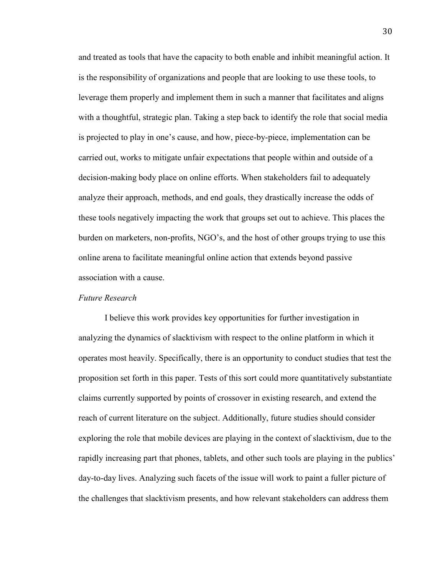and treated as tools that have the capacity to both enable and inhibit meaningful action. It is the responsibility of organizations and people that are looking to use these tools, to leverage them properly and implement them in such a manner that facilitates and aligns with a thoughtful, strategic plan. Taking a step back to identify the role that social media is projected to play in one's cause, and how, piece-by-piece, implementation can be carried out, works to mitigate unfair expectations that people within and outside of a decision-making body place on online efforts. When stakeholders fail to adequately analyze their approach, methods, and end goals, they drastically increase the odds of these tools negatively impacting the work that groups set out to achieve. This places the burden on marketers, non-profits, NGO's, and the host of other groups trying to use this online arena to facilitate meaningful online action that extends beyond passive association with a cause.

## *Future Research*

I believe this work provides key opportunities for further investigation in analyzing the dynamics of slacktivism with respect to the online platform in which it operates most heavily. Specifically, there is an opportunity to conduct studies that test the proposition set forth in this paper. Tests of this sort could more quantitatively substantiate claims currently supported by points of crossover in existing research, and extend the reach of current literature on the subject. Additionally, future studies should consider exploring the role that mobile devices are playing in the context of slacktivism, due to the rapidly increasing part that phones, tablets, and other such tools are playing in the publics' day-to-day lives. Analyzing such facets of the issue will work to paint a fuller picture of the challenges that slacktivism presents, and how relevant stakeholders can address them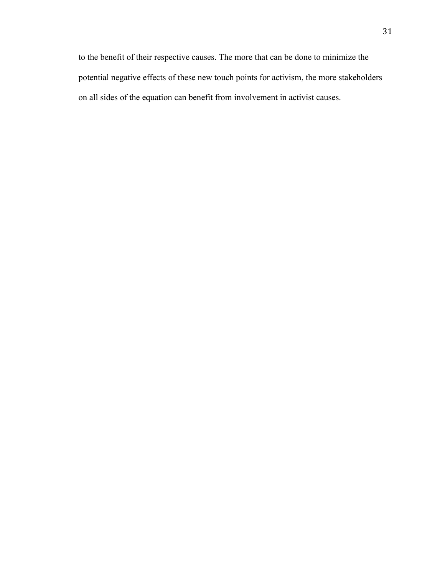to the benefit of their respective causes. The more that can be done to minimize the potential negative effects of these new touch points for activism, the more stakeholders on all sides of the equation can benefit from involvement in activist causes.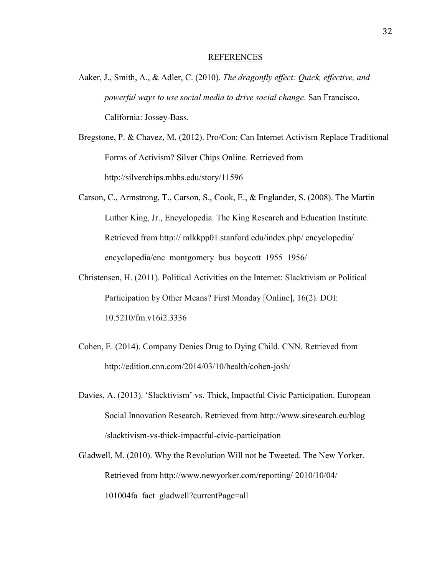#### REFERENCES

- Aaker, J., Smith, A., & Adler, C. (2010). *The dragonfly effect: Quick, effective, and powerful ways to use social media to drive social change*. San Francisco, California: Jossey-Bass.
- Bregstone, P. & Chavez, M. (2012). Pro/Con: Can Internet Activism Replace Traditional Forms of Activism? Silver Chips Online. Retrieved from http://silverchips.mbhs.edu/story/11596
- Carson, C., Armstrong, T., Carson, S., Cook, E., & Englander, S. (2008). The Martin Luther King, Jr., Encyclopedia. The King Research and Education Institute. Retrieved from http:// mlkkpp01.stanford.edu/index.php/ encyclopedia/ encyclopedia/enc\_montgomery\_bus\_boycott\_1955\_1956/
- Christensen, H. (2011). Political Activities on the Internet: Slacktivism or Political Participation by Other Means? First Monday [Online], 16(2). DOI: 10.5210/fm.v16i2.3336
- Cohen, E. (2014). Company Denies Drug to Dying Child. CNN. Retrieved from http://edition.cnn.com/2014/03/10/health/cohen-josh/
- Davies, A. (2013). 'Slacktivism' vs. Thick, Impactful Civic Participation. European Social Innovation Research. Retrieved from http://www.siresearch.eu/blog /slacktivism-vs-thick-impactful-civic-participation
- Gladwell, M. (2010). Why the Revolution Will not be Tweeted. The New Yorker. Retrieved from [http://www.newyorker.com/reporting/](http://www.newyorker.com/reporting/2010/10/04/101004fa_fact_gladwell?currentPage=all) 2010/10/04/ [101004fa\\_fact\\_gladwell?currentPage=all](http://www.newyorker.com/reporting/2010/10/04/101004fa_fact_gladwell?currentPage=all)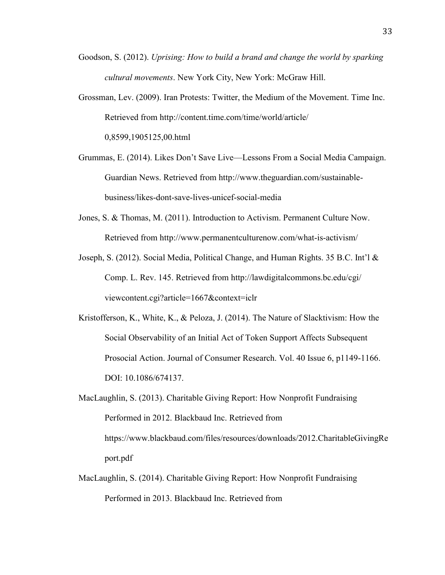- Goodson, S. (2012). *Uprising: How to build a brand and change the world by sparking cultural movements*. New York City, New York: McGraw Hill.
- Grossman, Lev. (2009). Iran Protests: Twitter, the Medium of the Movement. Time Inc. Retrieved from http://content.time.com/time/world/article/ 0,8599,1905125,00.html
- Grummas, E. (2014). Likes Don't Save Live—Lessons From a Social Media Campaign. Guardian News. Retrieved from http://www.theguardian.com/sustainablebusiness/likes-dont-save-lives-unicef-social-media
- Jones, S. & Thomas, M. (2011). Introduction to Activism. Permanent Culture Now. Retrieved from http://www.permanentculturenow.com/what-is-activism/
- Joseph, S. (2012). Social Media, Political Change, and Human Rights. 35 B.C. Int'l & Comp. L. Rev. 145. Retrieved from http://lawdigitalcommons.bc.edu/cgi/ viewcontent.cgi?article=1667&context=iclr
- Kristofferson, K., White, K., & Peloza, J. (2014). The Nature of Slacktivism: How the Social Observability of an Initial Act of Token Support Affects Subsequent Prosocial Action. Journal of Consumer Research. Vol. 40 Issue 6, p1149-1166. DOI: 10.1086/674137.
- MacLaughlin, S. (2013). Charitable Giving Report: How Nonprofit Fundraising Performed in 2012. Blackbaud Inc. Retrieved from https://www.blackbaud.com/files/resources/downloads/2012.CharitableGivingRe port.pdf
- MacLaughlin, S. (2014). Charitable Giving Report: How Nonprofit Fundraising Performed in 2013. Blackbaud Inc. Retrieved from